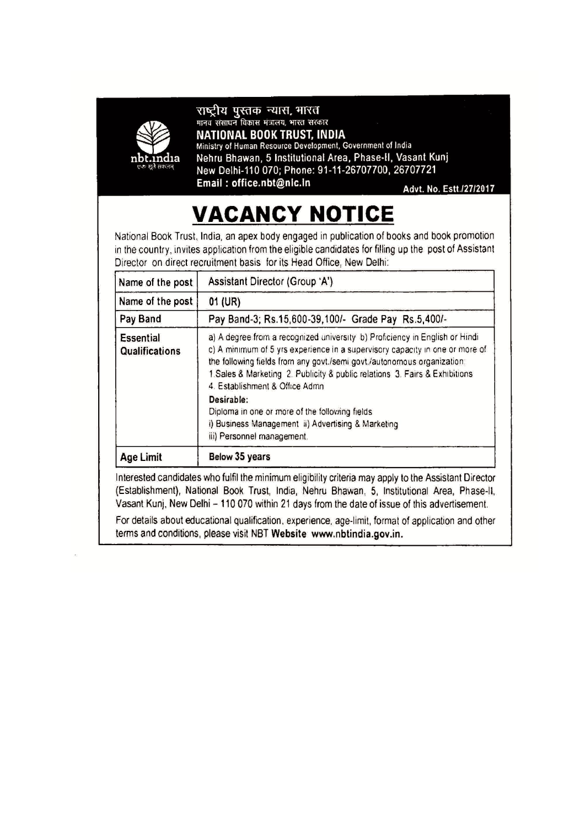

राष्ट्रीय पुस्तक न्यास, भारत मानव संसाधन विकास मंत्रालय, भारत सरकार NATIONAL BOOK TRUST, INDIA

Ministry of Human Resource Development, Government of India Nehru Bhawan, 5 Institutional Area, Phase-II, Vasant Kunj New Delhi-110 070; Phone: 91-11-26707700, 26707721 Email: office.nbt@nic.in

Advt. No. Estt./27/2017

# **VACANCY NOTICE**

National Book Trust, India, an apex body engaged in publication of books and book promotion in the country, invites application from the eligible candidates for filling up the post of Assistant Director on direct recruitment basis for its Head Office, New Delhi:

| Name of the post                                                | Assistant Director (Group 'A')                                                                                                                                                                                                                                                                                                                          |  |
|-----------------------------------------------------------------|---------------------------------------------------------------------------------------------------------------------------------------------------------------------------------------------------------------------------------------------------------------------------------------------------------------------------------------------------------|--|
| Name of the post                                                | 01 (UR)                                                                                                                                                                                                                                                                                                                                                 |  |
| Pay Band-3; Rs.15,600-39,100/- Grade Pay Rs.5,400/-<br>Pay Band |                                                                                                                                                                                                                                                                                                                                                         |  |
| Essential<br>Qualifications                                     | a) A degree from a recognized university b) Proficiency in English or Hindi<br>c) A minimum of 5 yrs experience in a supervisory capacity in one or more of<br>the following fields from any govt./semi govt./autonomous organization.<br>1. Sales & Marketing 2. Publicity & public relations 3. Fairs & Exhibitions<br>4. Establishment & Office Admn |  |
|                                                                 | Desirable:<br>Diploma in one or more of the following fields<br>i) Business Management ii) Advertising & Marketing<br>iii) Personnel management.                                                                                                                                                                                                        |  |
| <b>Age Limit</b>                                                | Below 35 years                                                                                                                                                                                                                                                                                                                                          |  |

Interested candidates who fulfil the minimum eligibility criteria may apply to the Assistant Director (Establishment), National Book Trust, India, Nehru Bhawan, 5, Institutional Area, Phase-II, Vasant Kunj, New Delhi - 110 070 within 21 days from the date of issue of this advertisement.

For details about educational qualification, experience, age-limit, format of application and other terms and conditions, please visit NBT Website www.nbtindia.gov.in.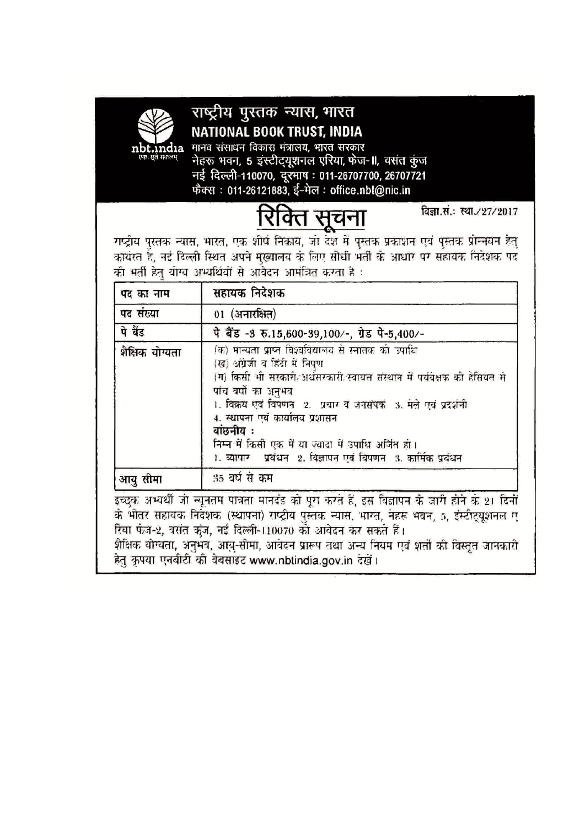

## राष्ट्रीय पुस्तक न्यास, भारत NATIONAL BOOK TRUST, INDIA

मानव संसाधन विकास मंत्रालय, भारत सरकार नेहरू भवन, 5 इंस्टीट्यूशनल एरिया, फेज-॥, वसंत कुंज नई दिल्ली-110070, दूरमाष: 011-26707700, 26707721 फैक्स: 011-26121883, ई-मेल: office.nbt@nic.in



विज्ञा.सं.: स्था./27/2017

गद्र्दीय पुस्तक न्यास, भारत, एक शीर्ष निकाय, जो देश में पुस्तक प्रकाशन एवं पुस्तक प्रोन्नयन हेतु कार्यरत हैं, नई दिल्ली स्थित अपने मुख्यालय के लिए सीधी भर्ती के आधार पर सहायक निदेशक पद की भर्ती हेतु योग्य अभ्यर्थियों से आवेदन आमंत्रित करता है :

| पद का नाम       | सहायक निदेशक                                                                                                                                                                                                                                                                                                                                                                                                                                 |  |
|-----------------|----------------------------------------------------------------------------------------------------------------------------------------------------------------------------------------------------------------------------------------------------------------------------------------------------------------------------------------------------------------------------------------------------------------------------------------------|--|
| पद संख्या       | 01 (अनारक्षित)                                                                                                                                                                                                                                                                                                                                                                                                                               |  |
| पे बेंड         | पे बैंड -3 रु.15,600-39,100/-, ग्रेड पे-5,400/-                                                                                                                                                                                                                                                                                                                                                                                              |  |
| शैक्षिक योग्यता | (क) मान्यता प्राप्त विश्वविद्यालय से स्नातक की उपाधि<br>(ख) अंग्रेजी व हिंदी में निपुण<br>(ग) किसी भी सरकारी अर्धसम्कारी स्वायत संस्थान में पर्यवेक्षक की हेसियत से<br>पांच बर्षों का अनुभव<br>1. विक्रय एवं विषणन - 2. प्रचार व जनसंपक्षं - 3. मेले एवं प्रदर्शनी<br>4. स्थापना एवं कार्यालय प्रशासन<br>बांछनीय ः<br>निम्न में किसी एक में या ज्यादा में उपाधि अजिंत हो।<br>1. व्यापार - प्रबंधन - 2. बिजापन एवं विपणन - 3. कार्मिक प्रबंधन |  |
| आयु सीमा        | 35 वर्ष से कम                                                                                                                                                                                                                                                                                                                                                                                                                                |  |
|                 | इच्छुक अभ्यर्थी जो न्यूनतम पात्रता मानदंड को पूरा करते हैं, इस विज्ञापन के जारी होने के 21 दिनों<br>के भीतर सहायक निर्देशक (स्थापना) राष्ट्रीय पुस्तक न्यास, भाग्त, नहरू भवन, ५, इंस्टीट्यूशनल ए<br>रिया फंज-2, वसंत क्रुंज, नई दिल्ली-110070 को आवेदन कर सकते हैं।<br>शैक्षिक योग्यता, अनुभव, आयु-सीमा, आवंढन प्रारूप तथा अन्य नियम एवं शर्तों की विस्तृत जानकारी                                                                           |  |

हेतु कृपया एनबीटी की वेबसाइट www.nbtindia.gov.in देखें।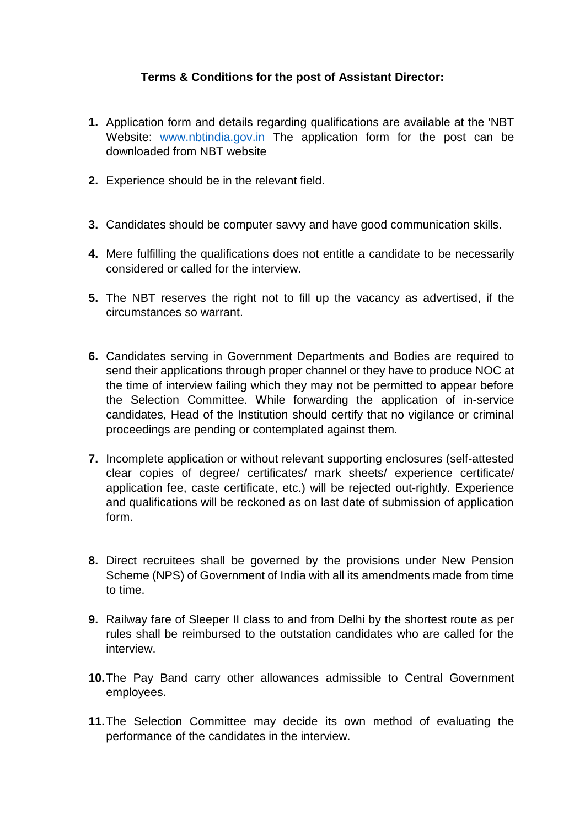#### **Terms & Conditions for the post of Assistant Director:**

- **1.** Application form and details regarding qualifications are available at the 'NBT Website: [www.nbtindia.gov.in](http://www.nbtindia.gov.in/) The application form for the post can be downloaded from NBT website
- **2.** Experience should be in the relevant field.
- **3.** Candidates should be computer savvy and have good communication skills.
- **4.** Mere fulfilling the qualifications does not entitle a candidate to be necessarily considered or called for the interview.
- **5.** The NBT reserves the right not to fill up the vacancy as advertised, if the circumstances so warrant.
- **6.** Candidates serving in Government Departments and Bodies are required to send their applications through proper channel or they have to produce NOC at the time of interview failing which they may not be permitted to appear before the Selection Committee. While forwarding the application of in-service candidates, Head of the Institution should certify that no vigilance or criminal proceedings are pending or contemplated against them.
- **7.** Incomplete application or without relevant supporting enclosures (self-attested clear copies of degree/ certificates/ mark sheets/ experience certificate/ application fee, caste certificate, etc.) will be rejected out-rightly. Experience and qualifications will be reckoned as on last date of submission of application form.
- **8.** Direct recruitees shall be governed by the provisions under New Pension Scheme (NPS) of Government of India with all its amendments made from time to time.
- **9.** Railway fare of Sleeper II class to and from Delhi by the shortest route as per rules shall be reimbursed to the outstation candidates who are called for the interview.
- **10.**The Pay Band carry other allowances admissible to Central Government employees.
- **11.**The Selection Committee may decide its own method of evaluating the performance of the candidates in the interview.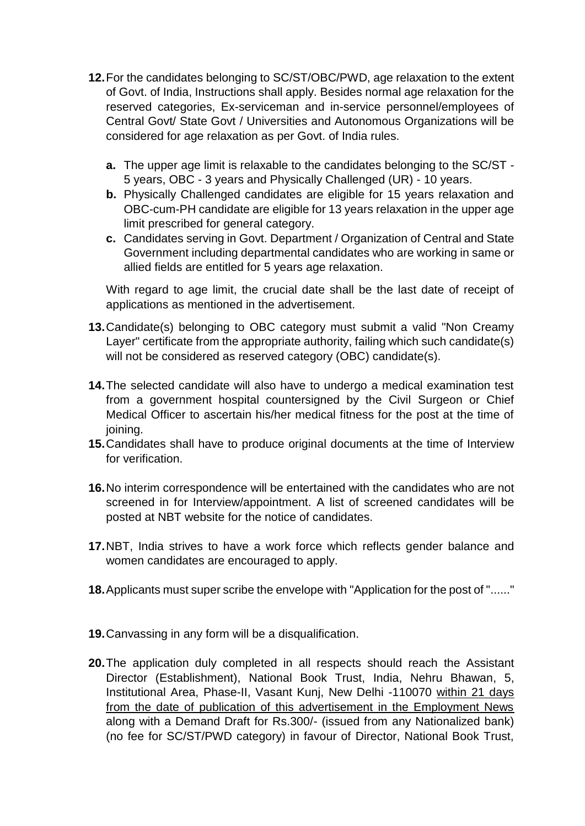- **12.**For the candidates belonging to SC/ST/OBC/PWD, age relaxation to the extent of Govt. of India, Instructions shall apply. Besides normal age relaxation for the reserved categories, Ex-serviceman and in-service personnel/employees of Central Govt/ State Govt / Universities and Autonomous Organizations will be considered for age relaxation as per Govt. of India rules.
	- **a.** The upper age limit is relaxable to the candidates belonging to the SC/ST 5 years, OBC - 3 years and Physically Challenged (UR) - 10 years.
	- **b.** Physically Challenged candidates are eligible for 15 years relaxation and OBC-cum-PH candidate are eligible for 13 years relaxation in the upper age limit prescribed for general category.
	- **c.** Candidates serving in Govt. Department / Organization of Central and State Government including departmental candidates who are working in same or allied fields are entitled for 5 years age relaxation.

With regard to age limit, the crucial date shall be the last date of receipt of applications as mentioned in the advertisement.

- **13.**Candidate(s) belonging to OBC category must submit a valid "Non Creamy Layer" certificate from the appropriate authority, failing which such candidate(s) will not be considered as reserved category (OBC) candidate(s).
- **14.**The selected candidate will also have to undergo a medical examination test from a government hospital countersigned by the Civil Surgeon or Chief Medical Officer to ascertain his/her medical fitness for the post at the time of joining.
- **15.**Candidates shall have to produce original documents at the time of Interview for verification.
- **16.**No interim correspondence will be entertained with the candidates who are not screened in for Interview/appointment. A list of screened candidates will be posted at NBT website for the notice of candidates.
- **17.**NBT, India strives to have a work force which reflects gender balance and women candidates are encouraged to apply.
- **18.**Applicants must super scribe the envelope with "Application for the post of "......"
- **19.**Canvassing in any form will be a disqualification.
- **20.**The application duly completed in all respects should reach the Assistant Director (Establishment), National Book Trust, India, Nehru Bhawan, 5, Institutional Area, Phase-II, Vasant Kunj, New Delhi -110070 within 21 days from the date of publication of this advertisement in the Employment News along with a Demand Draft for Rs.300/- (issued from any Nationalized bank) (no fee for SC/ST/PWD category) in favour of Director, National Book Trust,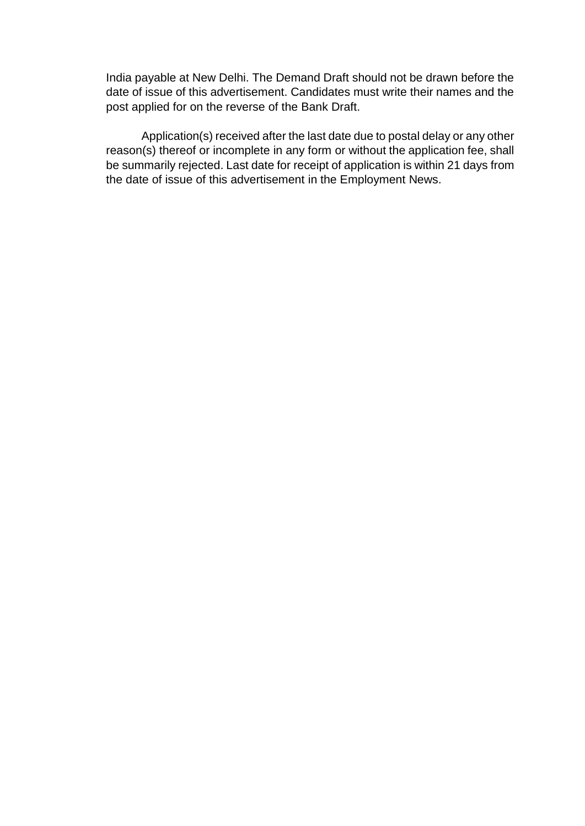India payable at New Delhi. The Demand Draft should not be drawn before the date of issue of this advertisement. Candidates must write their names and the post applied for on the reverse of the Bank Draft.

Application(s) received after the last date due to postal delay or any other reason(s) thereof or incomplete in any form or without the application fee, shall be summarily rejected. Last date for receipt of application is within 21 days from the date of issue of this advertisement in the Employment News.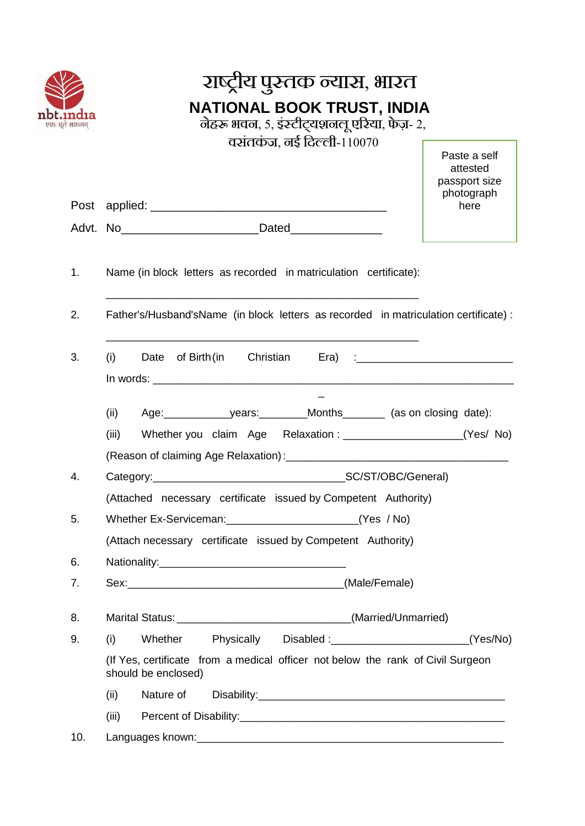|                                                              | राष्ट्रीय पुस्तक न्यास, भारत                                                                           |                                           |  |  |  |  |
|--------------------------------------------------------------|--------------------------------------------------------------------------------------------------------|-------------------------------------------|--|--|--|--|
| एकः सूते सकलम                                                | NATIONAL BOOK TRUST, INDIA<br>नेहरू भवन, ५, इंस्टीट्यशनलू एरिया, फेज़- २,                              |                                           |  |  |  |  |
|                                                              | वसंतकंज, नई दिल्ली-110070                                                                              | Paste a self<br>attested<br>passport size |  |  |  |  |
|                                                              |                                                                                                        | photograph<br>here                        |  |  |  |  |
|                                                              |                                                                                                        |                                           |  |  |  |  |
| 1.                                                           | Name (in block letters as recorded in matriculation certificate):                                      |                                           |  |  |  |  |
| 2.                                                           | Father's/Husband'sName (in block letters as recorded in matriculation certificate):                    |                                           |  |  |  |  |
| 3.                                                           | (i)<br>Date of Birth (in Christian                                                                     |                                           |  |  |  |  |
|                                                              |                                                                                                        |                                           |  |  |  |  |
|                                                              | (iii)                                                                                                  |                                           |  |  |  |  |
| 4.                                                           |                                                                                                        |                                           |  |  |  |  |
| 5.                                                           | (Attached necessary certificate issued by Competent Authority)                                         |                                           |  |  |  |  |
| (Attach necessary certificate issued by Competent Authority) |                                                                                                        |                                           |  |  |  |  |
| 6.                                                           |                                                                                                        |                                           |  |  |  |  |
| 7.                                                           |                                                                                                        |                                           |  |  |  |  |
| 8.                                                           |                                                                                                        |                                           |  |  |  |  |
| 9.                                                           | Physically Disabled: _________________________(Yes/No)<br>Whether<br>(i)                               |                                           |  |  |  |  |
|                                                              | (If Yes, certificate from a medical officer not below the rank of Civil Surgeon<br>should be enclosed) |                                           |  |  |  |  |
|                                                              | (ii)                                                                                                   |                                           |  |  |  |  |
|                                                              | (iii)                                                                                                  |                                           |  |  |  |  |
| 10.                                                          |                                                                                                        |                                           |  |  |  |  |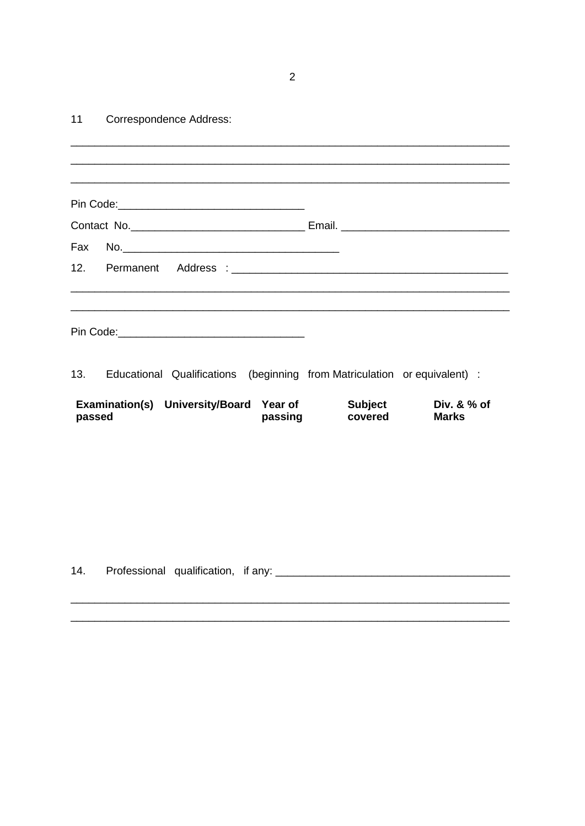$\overline{2}$ 

#### $11$ Correspondence Address:

| Fax    |                                         |         |                                                                           |                               |
|--------|-----------------------------------------|---------|---------------------------------------------------------------------------|-------------------------------|
|        |                                         |         |                                                                           |                               |
|        |                                         |         |                                                                           |                               |
|        |                                         |         |                                                                           |                               |
| 13.    |                                         |         | Educational Qualifications (beginning from Matriculation or equivalent) : |                               |
| passed | Examination(s) University/Board Year of | passing | <b>Subject</b><br>covered                                                 | Div. $& %$ of<br><b>Marks</b> |
|        |                                         |         |                                                                           |                               |
|        |                                         |         |                                                                           |                               |
|        |                                         |         |                                                                           |                               |
|        |                                         |         |                                                                           |                               |
|        |                                         |         |                                                                           |                               |
| 14.    |                                         |         |                                                                           |                               |
|        |                                         |         |                                                                           |                               |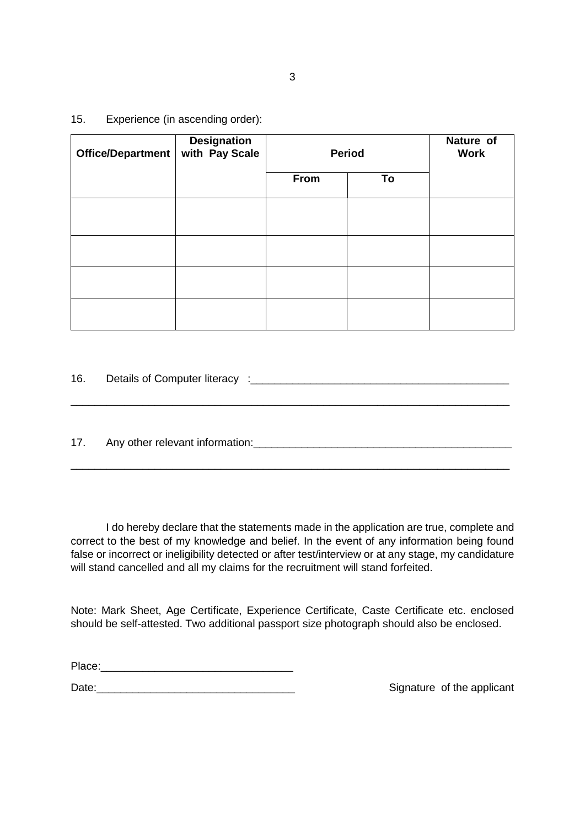| Office/Department | Designation<br>with Pay Scale | <b>Period</b> |    | Nature of<br><b>Work</b> |
|-------------------|-------------------------------|---------------|----|--------------------------|
|                   |                               | From          | To |                          |
|                   |                               |               |    |                          |
|                   |                               |               |    |                          |
|                   |                               |               |    |                          |
|                   |                               |               |    |                          |

16. Details of Computer literacy : 16.

17. Any other relevant information: example and any other relevant information:

I do hereby declare that the statements made in the application are true, complete and correct to the best of my knowledge and belief. In the event of any information being found false or incorrect or ineligibility detected or after test/interview or at any stage, my candidature will stand cancelled and all my claims for the recruitment will stand forfeited.

\_\_\_\_\_\_\_\_\_\_\_\_\_\_\_\_\_\_\_\_\_\_\_\_\_\_\_\_\_\_\_\_\_\_\_\_\_\_\_\_\_\_\_\_\_\_\_\_\_\_\_\_\_\_\_\_\_\_\_\_\_\_\_\_\_\_\_\_\_\_\_\_\_

\_\_\_\_\_\_\_\_\_\_\_\_\_\_\_\_\_\_\_\_\_\_\_\_\_\_\_\_\_\_\_\_\_\_\_\_\_\_\_\_\_\_\_\_\_\_\_\_\_\_\_\_\_\_\_\_\_\_\_\_\_\_\_\_\_\_\_\_\_\_\_\_\_

Note: Mark Sheet, Age Certificate, Experience Certificate, Caste Certificate etc. enclosed should be self-attested. Two additional passport size photograph should also be enclosed.

Place:\_\_\_\_\_\_\_\_\_\_\_\_\_\_\_\_\_\_\_\_\_\_\_\_\_\_\_\_\_\_\_\_

Date:\_\_\_\_\_\_\_\_\_\_\_\_\_\_\_\_\_\_\_\_\_\_\_\_\_\_\_\_\_\_\_\_\_ Signature of the applicant